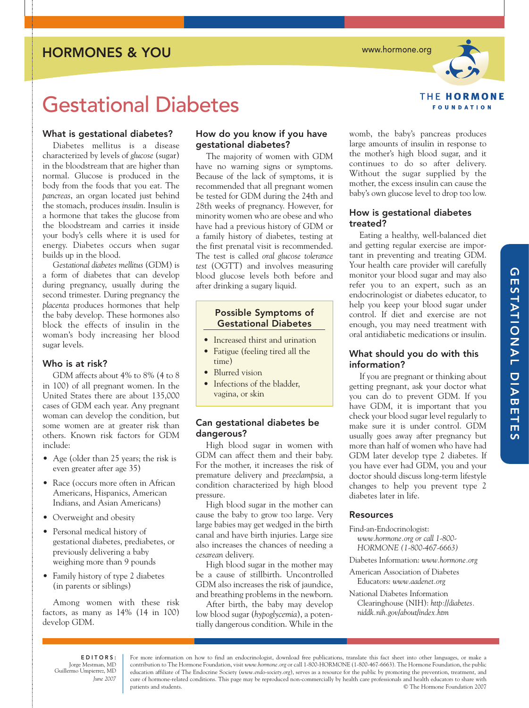HORMONES & YOU

www.hormone.org



# Gestational Diabetes

# What is gestational diabetes?

Diabetes mellitus is a disease characterized by levels of *glucose* (sugar) in the bloodstream that are higher than normal. Glucose is produced in the body from the foods that you eat. The *pancreas*, an organ located just behind the stomach, produces *insulin*. Insulin is a hormone that takes the glucose from the bloodstream and carries it inside your body's cells where it is used for energy. Diabetes occurs when sugar builds up in the blood.

*Gestational diabetes mellitus* (GDM) is a form of diabetes that can develop during pregnancy, usually during the second trimester. During pregnancy the *placenta* produces hormones that help the baby develop. These hormones also block the effects of insulin in the woman's body increasing her blood sugar levels.

# Who is at risk?

GDM affects about 4% to 8% (4 to 8 in 100) of all pregnant women. In the United States there are about 135,000 cases of GDM each year. Any pregnant woman can develop the condition, but some women are at greater risk than others. Known risk factors for GDM include:

- Age (older than 25 years; the risk is even greater after age 35)
- Race (occurs more often in African Americans, Hispanics, American Indians, and Asian Americans)
- Overweight and obesity
- Personal medical history of gestational diabetes, prediabetes, or previously delivering a baby weighing more than 9 pounds
- Family history of type 2 diabetes (in parents or siblings)

Among women with these risk factors, as many as 14% (14 in 100) develop GDM.

# How do you know if you have gestational diabetes?

The majority of women with GDM have no warning signs or symptoms. Because of the lack of symptoms, it is recommended that all pregnant women be tested for GDM during the 24th and 28th weeks of pregnancy. However, for minority women who are obese and who have had a previous history of GDM or a family history of diabetes, testing at the first prenatal visit is recommended. The test is called *oral glucose tolerance test* (OGTT) and involves measuring blood glucose levels both before and after drinking a sugary liquid.

# Possible Symptoms of Gestational Diabetes

- Increased thirst and urination
- Fatigue (feeling tired all the time)
- Blurred vision
- Infections of the bladder, vagina, or skin

# Can gestational diabetes be dangerous?

High blood sugar in women with GDM can affect them and their baby. For the mother, it increases the risk of premature delivery and *preeclampsia*, a condition characterized by high blood pressure.

High blood sugar in the mother can cause the baby to grow too large. Very large babies may get wedged in the birth canal and have birth injuries. Large size also increases the chances of needing a *cesarean* delivery.

High blood sugar in the mother may be a cause of stillbirth. Uncontrolled GDM also increases the risk of jaundice, and breathing problems in the newborn.

After birth, the baby may develop low blood sugar (*hypoglycemia*), a potentially dangerous condition. While in the womb, the baby's pancreas produces large amounts of insulin in response to the mother's high blood sugar, and it continues to do so after delivery. Without the sugar supplied by the mother, the excess insulin can cause the baby's own glucose level to drop too low.

# How is gestational diabetes treated?

Eating a healthy, well-balanced diet and getting regular exercise are important in preventing and treating GDM. Your health care provider will carefully monitor your blood sugar and may also refer you to an expert, such as an endocrinologist or diabetes educator, to help you keep your blood sugar under control. If diet and exercise are not enough, you may need treatment with oral antidiabetic medications or insulin.

# What should you do with this information?

If you are pregnant or thinking about getting pregnant, ask your doctor what you can do to prevent GDM. If you have GDM, it is important that you check your blood sugar level regularly to make sure it is under control. GDM usually goes away after pregnancy but more than half of women who have had GDM later develop type 2 diabetes. If you have ever had GDM, you and your doctor should discuss long-term lifestyle changes to help you prevent type 2 diabetes later in life.

# Resources

Find-an-Endocrinologist:

*www.hormone.org or call 1-800- HORMONE (1-800-467-6663)*

Diabetes Information: *www.hormone.org*

- American Association of Diabetes Educators: *www.aadenet.org*
- National Diabetes Information Clearinghouse (NIH): *http://diabetes. niddk.nih.gov/about/index.htm*

EDITORS: Jorge Mestman, MD Guillermo Umpierrez, MD *June 2007* 

For more information on how to find an endocrinologist, download free publications, translate this fact sheet into other languages, or make a contribution to The Hormone Foundation, visit *www.hormone.org* or call 1-800-HORMONE (1-800-467-6663). The Hormone Foundation, the public education affiliate of The Endocrine Society (*www.endo-society.org*), serves as a resource for the public by promoting the prevention, treatment, and cure of hormone-related conditions. This page may be reproduced non-commercially by health care professionals and health educators to share with patients and students. © The Hormone Foundation 2007